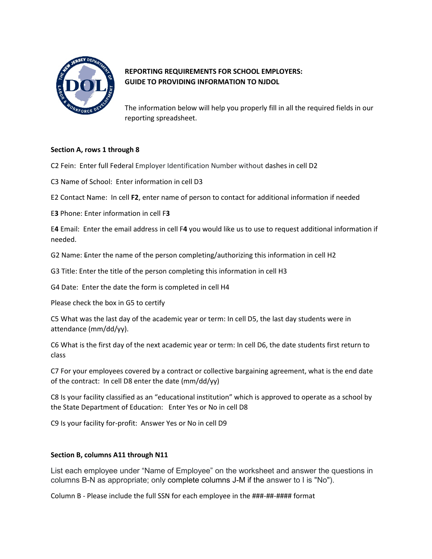

## **REPORTING REQUIREMENTS FOR SCHOOL EMPLOYERS: GUIDE TO PROVIDING INFORMATION TO NJDOL**

The information below will help you properly fill in all the required fields in our reporting spreadsheet.

## **Section A, rows 1 through 8**

- C2 Fein: Enter full Federal Employer Identification Number without dashes in cell D2
- C3 Name of School: Enter information in cell D3
- E2 Contact Name: In cell **F2**, enter name of person to contact for additional information if needed
- E**3** Phone: Enter information in cell F**3**

E**4** Email: Enter the email address in cell F**4** you would like us to use to request additional information if needed.

G2 Name: Enter the name of the person completing/authorizing this information in cell H2

G3 Title: Enter the title of the person completing this information in cell H3

G4 Date: Enter the date the form is completed in cell H4

Please check the box in G5 to certify

C5 What was the last day of the academic year or term: In cell D5, the last day students were in attendance (mm/dd/yy).

C6 What is the first day of the next academic year or term: In cell D6, the date students first return to class

C7 For your employees covered by a contract or collective bargaining agreement, what is the end date of the contract: In cell D8 enter the date (mm/dd/yy)

C8 Is your facility classified as an "educational institution" which is approved to operate as a school by the State Department of Education: Enter Yes or No in cell D8

C9 Is your facility for-profit: Answer Yes or No in cell D9

## **Section B, columns A11 through N11**

List each employee under "Name of Employee" on the worksheet and answer the questions in columns B-N as appropriate; only complete columns J-M if the answer to I is "No").

Column B - Please include the full SSN for each employee in the ###-##-#### format